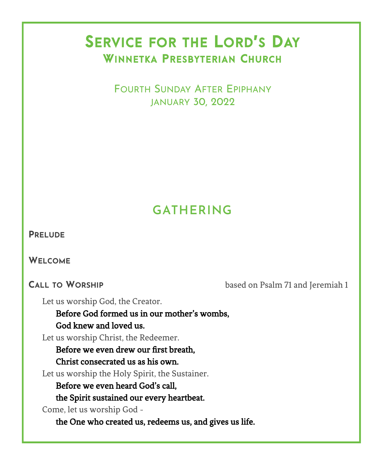# SERVICE FOR THE LORD'S DAY WINNETKA PRESBYTERIAN CHURCH

 FOURTH SUNDAY AFTER EPIPHANY JANUARY 30, 2022

# **GATHERING**

**WELCOME**

**CALL TO WORSHIP** based on Psalm 71 and Jeremiah 1

Let us worship God, the Creator.

Before God formed us in our mother's wombs, God knew and loved us.

Let us worship Christ, the Redeemer.

Before we even drew our first breath,

Christ consecrated us as his own.

Let us worship the Holy Spirit, the Sustainer.

Before we even heard God's call,

the Spirit sustained our every heartbeat.

Come, let us worship God -

the One who created us, redeems us, and gives us life.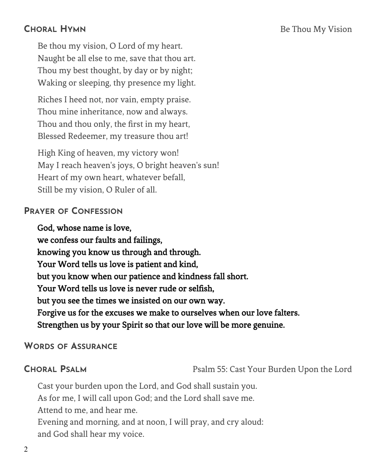Be thou my vision, O Lord of my heart. Naught be all else to me, save that thou art. Thou my best thought, by day or by night; Waking or sleeping, thy presence my light.

Riches I heed not, nor vain, empty praise. Thou mine inheritance, now and always. Thou and thou only, the first in my heart, Blessed Redeemer, my treasure thou art!

High King of heaven, my victory won! May I reach heaven's joys, O bright heaven's sun! Heart of my own heart, whatever befall, Still be my vision, O Ruler of all.

#### **PRAYER OF CONFESSION**

### God, whose name is love, we confess our faults and failings, knowing you know us through and through. Your Word tells us love is patient and kind, but you know when our patience and kindness fall short. Your Word tells us love is never rude or selfish, but you see the times we insisted on our own way. Forgive us for the excuses we make to ourselves when our love falters. Strengthen us by your Spirit so that our love will be more genuine.

#### **WORDS OF ASSURANCE**

**CHORAL PSALM** Psalm 55: Cast Your Burden Upon the Lord

Cast your burden upon the Lord, and God shall sustain you. As for me, I will call upon God; and the Lord shall save me. Attend to me, and hear me. Evening and morning, and at noon, I will pray, and cry aloud: and God shall hear my voice.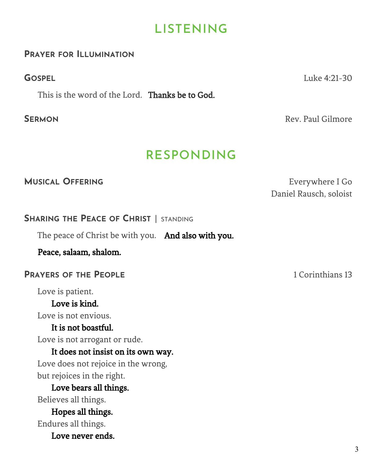## **LISTENING**

#### **PRAYER FOR ILLUMINATION**

This is the word of the Lord. Thanks be to God.

**GOSPEL** Luke 4:21-30

**SERMON** Rev. Paul Gilmore

## **RESPONDING**

**MUSICAL OFFERING EVERING EVERING EXECUTE SOME EXECUTIVE EXECUTIVE EXECUTIVE EXECUTIVE EXECUTIVE EXECUTIVE EXECUTIVE EXECUTIVE EXECUTIVE EXECUTIVE EXECUTIVE EXECUTIVE EXECUTIVE EXECUTIVE EXECUTIVE EXECUTIVE EXECUTIVE** Daniel Rausch, soloist

### **SHARING THE PEACE OF CHRIST** | STANDING

The peace of Christ be with you. And also with you.

Peace, salaam, shalom.

### **PRAYERS OF THE PEOPLE** 1 Corinthians 13

Love is patient.

### Love is kind.

Love is not envious.

### It is not boastful.

Love is not arrogant or rude.

### It does not insist on its own way.

Love does not rejoice in the wrong, but rejoices in the right.

#### Love bears all things. Believes all things.

Hopes all things. Endures all things.

Love never ends.